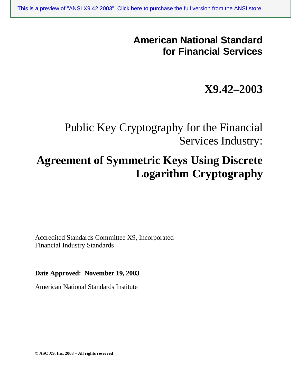# **American National Standard for Financial Services**

# **X9.42–2003**

# Public Key Cryptography for the Financial Services Industry:

# **Agreement of Symmetric Keys Using Discrete Logarithm Cryptography**

Accredited Standards Committee X9, Incorporated Financial Industry Standards

**Date Approved: November 19, 2003**

American National Standards Institute

**© ASC X9, Inc. 2003 – All rights reserved**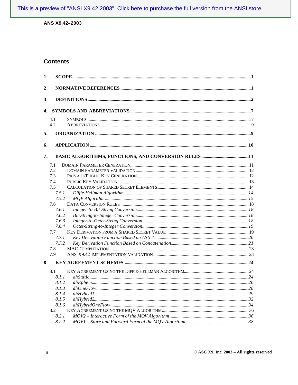ANS X9.42-2003

## **Contents**

| 1            |       |  |
|--------------|-------|--|
| $\mathbf{2}$ |       |  |
| 3            |       |  |
| 4.           |       |  |
|              | 4.1   |  |
|              | 4.2   |  |
| 5.           |       |  |
| 6.           |       |  |
|              |       |  |
| 7.           |       |  |
|              | 7.1   |  |
|              | 7.2   |  |
|              | 7.3   |  |
|              | 7.4   |  |
|              | 7.5   |  |
|              | 7.5.1 |  |
|              | 7.5.2 |  |
|              | 7.6   |  |
|              | 7.6.1 |  |
|              | 7.6.2 |  |
|              | 7.6.3 |  |
|              | 7.6.4 |  |
|              | 7.7   |  |
|              | 7.7.1 |  |
|              | 7.7.2 |  |
|              | 7.8   |  |
|              | 7.9   |  |
| 8            |       |  |
|              | 8.1   |  |
|              | 8.1.1 |  |
|              | 8.1.2 |  |
|              | 8.1.3 |  |
|              | 8.1.4 |  |
|              | 8.1.5 |  |
|              | 8.1.6 |  |
|              | 8.2   |  |
|              | 8.2.1 |  |
|              | 8.2.2 |  |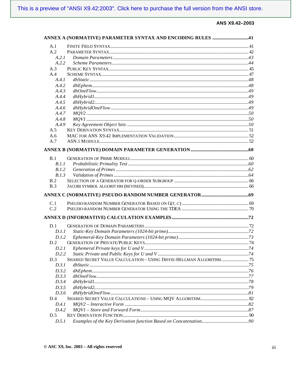### ANS X9.42-2003

| A.1          |                                                                     |  |
|--------------|---------------------------------------------------------------------|--|
| A.2          |                                                                     |  |
| A.2.1        |                                                                     |  |
| A.2.2        |                                                                     |  |
| A.3          |                                                                     |  |
| A.4          |                                                                     |  |
| A.4.1        |                                                                     |  |
| $A$ 4 2      |                                                                     |  |
| A.4.3        |                                                                     |  |
| A.4.4        |                                                                     |  |
| A.4.5        |                                                                     |  |
| A.4.6        |                                                                     |  |
| A.4.7        |                                                                     |  |
| A.4.8        |                                                                     |  |
| A.4.9        |                                                                     |  |
| A.5          |                                                                     |  |
| A.6          |                                                                     |  |
| A.7          |                                                                     |  |
|              |                                                                     |  |
| B.1          |                                                                     |  |
| <i>B.1.1</i> |                                                                     |  |
| R.1.2        |                                                                     |  |
| <i>B.1.3</i> |                                                                     |  |
| B.2          |                                                                     |  |
| B.3          |                                                                     |  |
|              |                                                                     |  |
| C.1          |                                                                     |  |
| C.2          |                                                                     |  |
|              |                                                                     |  |
|              |                                                                     |  |
| D.1          |                                                                     |  |
| D.I.1        |                                                                     |  |
| D.1.2        |                                                                     |  |
| D.2          |                                                                     |  |
| D.2.1        |                                                                     |  |
| D.2.2        |                                                                     |  |
| D.3          | SHARED SECRET VALUE CALCULATION - USING DIFFIE-HELLMAN ALGORITHM 75 |  |
| D.3.1        |                                                                     |  |
| D.3.2        |                                                                     |  |
| D.3.3        |                                                                     |  |
| D.3.4        |                                                                     |  |
| D.3.5        |                                                                     |  |
| D.3.6        |                                                                     |  |
| D.4          |                                                                     |  |
| D.4.1        |                                                                     |  |
| D.4.2        |                                                                     |  |
| D.5          |                                                                     |  |
| D.5.1        |                                                                     |  |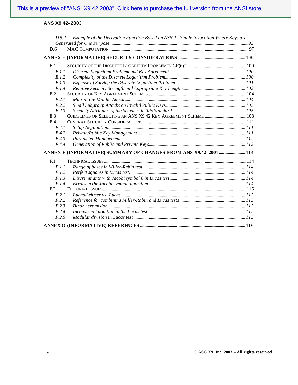| D.5.2          | Example of the Derivation Function Based on ASN.1 - Single Invocation Where Keys are |  |
|----------------|--------------------------------------------------------------------------------------|--|
| D.6            |                                                                                      |  |
|                |                                                                                      |  |
| E.1            |                                                                                      |  |
| E.1.1          |                                                                                      |  |
| E.1.2          |                                                                                      |  |
| E.1.3          |                                                                                      |  |
| E.1.4          |                                                                                      |  |
| E.2            |                                                                                      |  |
| E.2.1          |                                                                                      |  |
| E.2.2          |                                                                                      |  |
| E.2.3          |                                                                                      |  |
| E.3            |                                                                                      |  |
| E.4            |                                                                                      |  |
| E.4.1          |                                                                                      |  |
| E.4.2          |                                                                                      |  |
| E.4.3          |                                                                                      |  |
| E.4.4          |                                                                                      |  |
|                | ANNEX F (INFORMATIVE) SUMMARY OF CHANGES FROM ANS X9.42-2001  114                    |  |
| F <sub>1</sub> |                                                                                      |  |
| F.1.1          |                                                                                      |  |
| F.1.2          |                                                                                      |  |
| F.1.3          |                                                                                      |  |
| F.1.4          |                                                                                      |  |
| F.2            |                                                                                      |  |
| F.2.1          |                                                                                      |  |
| F.2.2          |                                                                                      |  |
| F.2.3          |                                                                                      |  |
| F.2.4          |                                                                                      |  |
| F.2.5          |                                                                                      |  |
|                |                                                                                      |  |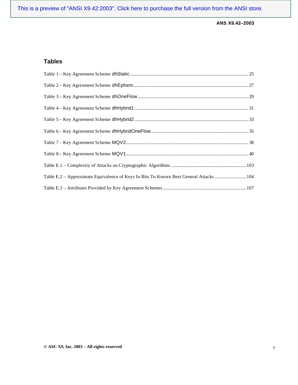**ANS X9.42–2003**

## **Tables**

| Table E.2 - Approximate Equivalence of Keys In Bits To Known Best General Attacks 104 |  |
|---------------------------------------------------------------------------------------|--|
|                                                                                       |  |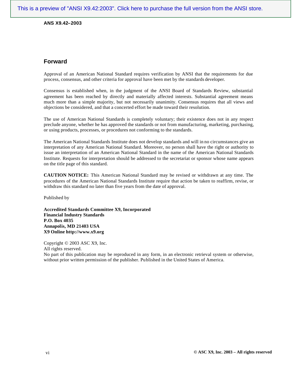### **Forward**

Approval of an American National Standard requires verification by ANSI that the requirements for due process, consensus, and other criteria for approval have been met by the standards developer.

Consensus is established when, in the judgment of the ANSI Board of Standards Review, substantial agreement has been reached by directly and materially affected interests. Substantial agreement means much more than a simple majority, but not necessarily unanimity. Consensus requires that all views and objections be considered, and that a concerted effort be made toward their resolution.

The use of American National Standards is completely voluntary; their existence does not in any respect preclude anyone, whether he has approved the standards or not from manufacturing, marketing, purchasing, or using products, processes, or procedures not conforming to the standards.

The American National Standards Institute does not develop standards and will in no circumstances give an interpretation of any American National Standard. Moreover, no person shall have the right or authority to issue an interpretation of an American National Standard in the name of the American National Standards Institute. Requests for interpretation should be addressed to the secretariat or sponsor whose name appears on the title page of this standard.

**CAUTION NOTICE:** This American National Standard may be revised or withdrawn at any time. The procedures of the American National Standards Institute require that action be taken to reaffirm, revise, or withdraw this standard no later than five years from the date of approval.

Published by

**Accredited Standards Committee X9, Incorporated Financial Industry Standards P.O. Box 4035 Annapolis, MD 21403 USA X9 Online http://www.x9.org**

Copyright © 2003 ASC X9, Inc. All rights reserved.

No part of this publication may be reproduced in any form, in an electronic retrieval system or otherwise, without prior written permission of the publisher. Published in the United States of America.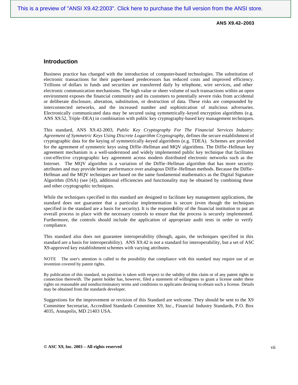## **Introduction**

Business practice has changed with the introduction of computer-based technologies. The substitution of electronic transactions for their paper-based predecessors has reduced costs and improved efficiency. Trillions of dollars in funds and securities are transferred daily by telephone, wire services, and other electronic communication mechanisms. The high value or sheer volume of such transactions within an open environment exposes the financial community and its customers to potentially severe risks from accidental or deliberate disclosure, alteration, substitution, or destruction of data. These risks are compounded by interconnected networks, and the increased number and sophistication of malicious adversaries. Electronically communicated data may be secured using symmetrically-keyed encryption algorithms (e.g. ANS X9.52, Triple -DEA) in combination with public key cryptography-based key management techniques.

This standard, ANS X9.42-2003, *Public Key Cryptography For The Financial Services Industry: Agreement of Symmetric Keys Using Discrete Logarithm Cryptography*, defines the secure establishment of cryptographic data for the keying of symmetrically-keyed algorithms (e.g. TDEA). Schemes are provided for the agreement of symmetric keys using Diffie-Hellman and MQV algorithms. The Diffie-Hellman key agreement mechanism is a well-understood and widely implemented public key technique that facilitates cost-effective cryptographic key agreement across modern distributed electronic networks such as the Internet. The MQV algorithm is a variation of the Diffie-Hellman algorithm that has more security attributes and may provide better performance over analogous Diffie-Hellman methods. Because the Diffie-Hellman and the MQV techniques are based on the same fundamental mathematics as the Digital Signature Algorithm (DSA) (see [4]), additional efficiencies and functionality may be obtained by combining these and other cryptographic techniques.

While the techniques specified in this standard are designed to facilitate key management applications, the standard does not guarantee that a particular implementation is secure (even though the techniques specified in the standard are a basis for security). It is the responsibility of the financial institution to put an overall process in place with the necessary controls to ensure that the process is securely implemented. Furthermore, the controls should include the application of appropriate audit tests in order to verify compliance.

This standard also does not guarantee interoperability (though, again, the techniques specified in this standard are a basis for interoperability). ANS X9.42 is not a standard for interoperability, but a set of ASC X9-approved key establishment schemes with varying attributes.

NOTE The user's attention is called to the possibility that compliance with this standard may require use of an invention covered by patent rights.

By publication of this standard, no position is taken with respect to the validity of this claim or of any patent rights in connection therewith. The patent holder has, however, filed a statement of willingness to grant a license under these rights on reasonable and nondiscriminatory terms and conditions to applicants desiring to obtain such a license. Details may be obtained from the standards developer.

Suggestions for the improvement or revision of this Standard are welcome. They should be sent to the X9 Committee Secretariat, Accredited Standards Committee X9, Inc., Financial Industry Standards, P.O. Box 4035, Annapolis, MD 21403 USA.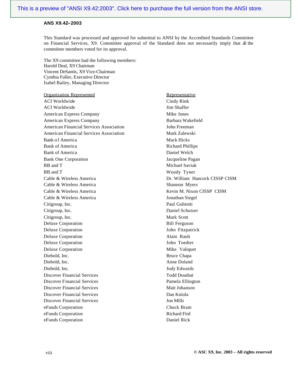This Standard was processed and approved for submittal to ANSI by the Accredited Standards Committee on Financial Services, X9. Committee approval of the Standard does not necessarily imply that all the committee members voted for its approval.

The X9 committee had the following members: Harold Deal, X9 Chairman Vincent DeSantis, X9 Vice-Chairman Cynthia Fuller, Executive Director Isabel Bailey, Managing Director

Organization Represented Representative Representative ACI Worldwide Cindy Rink ACI Worldwide Jim Shaffer American Express Company Mike Jones American Express Company Barbara Wakefield American Financial Services Association John Freeman American Financial Services Association Mark Zalewski Bank of America **Mack Hicks** Mack Hicks Bank of America Richard Phillips Bank of America Daniel Welch Bank One Corporation Jacqueline Pagan BB and T Michael Saviak BB and T Woody Tyner Cable & Wireless America Dr. William Hancock CISSP CISM Cable & Wireless America Shannon Myers Cable & Wireless America Kevin M. Nixon CISSP CISM Cable & Wireless America Jonathan Siegel Citigroup, Inc. Paul Gubiotti Citigroup, Inc. Daniel Schutzer Citigroup, Inc. Mark Scott Deluxe Corporation **Bill Ferguson** Deluxe Corporation **Deluxe Corporation** John Fitzpatrick Deluxe Corporation Alain Rault Deluxe Corporation **John Toedter** Deluxe Corporation Mike Valiquet Diebold, Inc. Bruce Chapa Diebold, Inc. Anne Doland Diebold, Inc. Judy Edwards Discover Financial Services Todd Douthat Discover Financial Services **Pamela Ellington** Pamela Ellington Discover Financial Services and the Matt Johanson Discover Financial Services Dan Kniola Discover Financial Services Jon Mills eFunds Corporation Chuck Bram eFunds Corporation Richard Fire eFunds Corporation Daniel Rick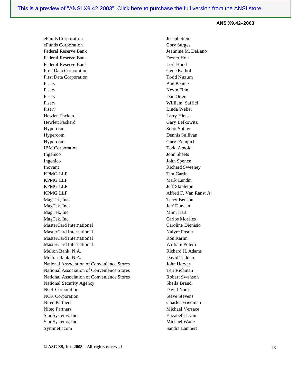eFunds Corporation Joseph Stein eFunds Corporation Cory Surges Federal Reserve Bank Jeannine M. DeLano Federal Reserve Bank and the Second Person of the Dexter Holt Federal Reserve Bank Lori Hood First Data Corporation Gene Kathol First Data Corporation Todd Nuzum Fiserv Bud Beattie Fiserv Kevin Finn Fiserv Dan Otten Fiserv William Saffici Fiserv Linda Weber Hewlett Packard Larry Hines Hewlett Packard Gary Lefkowitz Hypercom Scott Spiker Hypercom Dennis Sullivan Hypercom Gary Zempich IBM Corporation Todd Arnold Ingenico John Sheets Ingenico John Spence Inovant **Richard Sweeney** KPMG LLP Tim Gartin KPMG LLP Mark Lundin KPMG LLP Jeff Stapleton KPMG LLP Alfred F. Van Ranst Jr. MagTek, Inc. Terry Benson MagTek, Inc. Some of the United States of the United States and Jeff Duncan MagTek, Inc. Mimi Hart MagTek, Inc. Carlos Morales MasterCard International Caroline Dionisio MasterCard International Naiyre Foster MasterCard International Ron Karlin MasterCard International William Poletti Mellon Bank, N.A. Richard H. Adams Mellon Bank, N.A. David Taddeo National Association of Convenience Stores John Hervey National Association of Convenience Stores Teri Richman National Association of Convenience Stores Robert Swanson National Security Agency Sheila Brand NCR Corporation David Norris NCR Corporation Steve Stevens Niteo Partners Charles Friedman Niteo Partners Michael Versace Star Systems, Inc. Elizabeth Lynn Star Systems, Inc. **Michael Wade** Symmetricom Sandra Lambert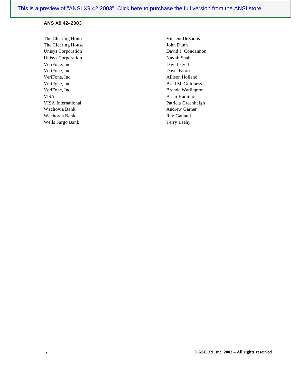The Clearing House Vincent DeSantis The Clearing House John Dunn Unisys Corporation David J. Concannon Unisys Corporation Navnit Shah VeriFone, Inc. David Ezell VeriFone, Inc. Dave Faoro VeriFone, Inc. Allison Holland VeriFone, Inc. Brad McGuinness VeriFone, Inc. Secretary 1986 and Secretary 1986. Brenda Watlington VISA Brian Hamilton VISA International Patricia Greenhalgh Wachovia Bank Andrew Garner Wachovia Bank Ray Gatland Wells Fargo Bank Terry Leahy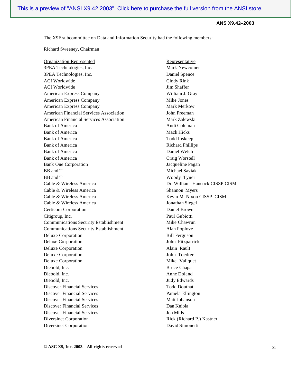The X9F subcommittee on Data and Information Security had the following members:

Richard Sweeney, Chairman

| <b>Organization Represented</b>                | Representative                 |
|------------------------------------------------|--------------------------------|
| 3PEA Technologies, Inc.                        | Mark Newcomer                  |
| 3PEA Technologies, Inc.                        | Daniel Spence                  |
| <b>ACI</b> Worldwide                           | Cindy Rink                     |
| <b>ACI</b> Worldwide                           | Jim Shaffer                    |
| <b>American Express Company</b>                | William J. Gray                |
| <b>American Express Company</b>                | Mike Jones                     |
| American Express Company                       | Mark Merkow                    |
| <b>American Financial Services Association</b> | John Freeman                   |
| <b>American Financial Services Association</b> | Mark Zalewski                  |
| <b>Bank of America</b>                         | Andi Coleman                   |
| <b>Bank of America</b>                         | <b>Mack Hicks</b>              |
| <b>Bank of America</b>                         | Todd Inskeep                   |
| <b>Bank of America</b>                         | <b>Richard Phillips</b>        |
| <b>Bank of America</b>                         | Daniel Welch                   |
| <b>Bank of America</b>                         | Craig Worstell                 |
| <b>Bank One Corporation</b>                    | Jacqueline Pagan               |
| BB and T                                       | Michael Saviak                 |
| BB and T                                       | Woody Tyner                    |
| Cable & Wireless America                       | Dr. William Hancock CISSP CISM |
| Cable & Wireless America                       | Shannon Myers                  |
| Cable & Wireless America                       | Kevin M. Nixon CISSP CISM      |
| Cable & Wireless America                       | Jonathan Siegel                |
| <b>Certicom Corporation</b>                    | Daniel Brown                   |
| Citigroup, Inc.                                | Paul Gubiotti                  |
| <b>Communications Security Establishment</b>   | Mike Chawrun                   |
| <b>Communications Security Establishment</b>   | Alan Poplove                   |
| Deluxe Corporation                             | <b>Bill Ferguson</b>           |
| Deluxe Corporation                             | John Fitzpatrick               |
| Deluxe Corporation                             | Alain Rault                    |
| <b>Deluxe Corporation</b>                      | John Toedter                   |
| Deluxe Corporation                             | Mike Valiquet                  |
| Diebold, Inc.                                  | <b>Bruce Chapa</b>             |
| Diebold, Inc.                                  | Anne Doland                    |
| Diebold, Inc.                                  | <b>Judy Edwards</b>            |
| <b>Discover Financial Services</b>             | <b>Todd Douthat</b>            |
| <b>Discover Financial Services</b>             | Pamela Ellington               |
| <b>Discover Financial Services</b>             | Matt Johanson                  |
| <b>Discover Financial Services</b>             | Dan Kniola                     |
| <b>Discover Financial Services</b>             | Jon Mills                      |
| Diversinet Corporation                         | Rick (Richard P.) Kastner      |
| Diversinet Corporation                         | David Simonetti                |
|                                                |                                |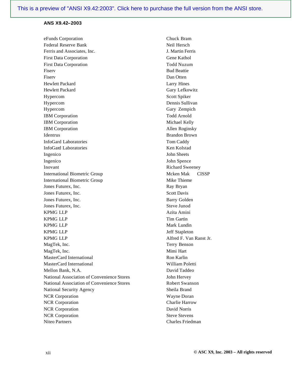eFunds Corporation Chuck Bram Federal Reserve Bank Neil Hersch Ferris and Associates, Inc. J. Martin Ferris First Data Corporation Gene Kathol First Data Corporation Todd Nuzum Fiserv Bud Beattie Fiserv Dan Otten Hewlett Packard Larry Hines Hewlett Packard Gary Lefkowitz Hypercom Scott Spiker Hypercom Dennis Sullivan Hypercom Gary Zempich IBM Corporation Todd Arnold IBM Corporation Michael Kelly IBM Corporation Allen Roginsky Identrus Brandon Brown InfoGard Laboratories Tom Caddy InfoGard Laboratories Ken Kolstad Ingenico John Sheets Ingenico John Spence Inovant **Richard Sweeney** International Biometric Group Mcken Mak CISSP **International Biometric Group Mike Thieme** Jones Futurex, Inc. **Ray Bryan** Jones Futurex, Inc. Scott Davis Jones Futurex, Inc. Barry Golden **Jones Futurex, Inc.** Steve Junod KPMG LLP Azita Amini KPMG LLP Tim Gartin KPMG LLP Mark Lundin KPMG LLP Jeff Stapleton KPMG LLP Alfred F. Van Ranst Jr. MagTek, Inc. Terry Benson MagTek, Inc. Mimi Hart MasterCard International **Ron Contact Contact Contact Contact Contact Contact Contact Contact Contact Contact Contact Contact Contact Contact Contact Contact Contact Contact Contact Contact Contact Contact Contact Contact** MasterCard International William Poletti Mellon Bank, N.A. David Taddeo National Association of Convenience Stores John Hervey National Association of Convenience Stores Robert Swanson National Security Agency Sheila Brand NCR Corporation Wayne Doran NCR Corporation Charlie Harrow NCR Corporation David Norris NCR Corporation Steve Stevens Niteo Partners **Charles Friedman**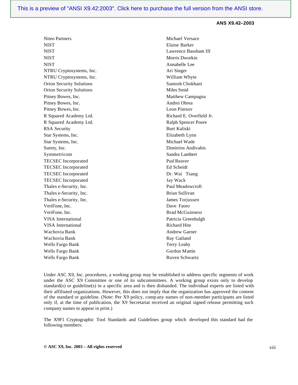| <b>Niteo Partners</b>           |
|---------------------------------|
| NIST                            |
| <b>NIST</b>                     |
| <b>NIST</b>                     |
| <b>NIST</b>                     |
| NTRU Cryptosystems, Inc.        |
| NTRU Cryptosystems, Inc.        |
| <b>Orion Security Solutions</b> |
| <b>Orion Security Solutions</b> |
| Pitney Bowes, Inc.              |
| Pitney Bowes, Inc.              |
| Pitney Bowes, Inc.              |
| R Squared Academy Ltd.          |
| R Squared Academy Ltd.          |
| RSA Security                    |
| Star Systems, Inc.              |
| Star Systems, Inc.              |
| Surety, Inc.                    |
| Symmetricom                     |
| <b>TECSEC</b> Incorporated      |
| <b>TECSEC</b> Incorporated      |
| <b>TECSEC</b> Incorporated      |
| <b>TECSEC</b> Incorporated      |
| Thales e-Security, Inc.         |
| Thales e-Security, Inc.         |
| Thales e-Security, Inc.         |
| VeriFone, Inc.                  |
| VeriFone, Inc.                  |
| <b>VISA</b> International       |
| VISA International              |
| Wachovia Bank                   |
| Wachovia Bank                   |
| Wells Fargo Bank                |
| Wells Fargo Bank                |
| Wells Fargo Bank                |

Michael Versace Elaine Barker Lawrence Bassham III Morris Dworkin Annabelle Lee Ari Singer William Whyte Santosh Chokhani Miles Smid Matthew Campagna Andrei Obrea Leon Pintsov Richard E. Overfield Jr. Ralph Spencer Poore Burt Kaliski Elizabeth Lynn Michael Wade Dimitrios Andivahis Sandra Lambert Pud Reaver Ed Scheidt Dr. Wai Tsang Jay Wack Paul Meadowcroft Brian Sullivan James Torjussen Dave Faoro Brad McGuinness Patricia Greenhalgh Richard Hite Andrew Garner Ray Gatland Terry Leahy Gordon Martin Ruven Schwartz

Under ASC X9, Inc. procedures, a working group may be established to address specific segments of work under the ASC X9 Committee or one of its subcommittees. A working group exists only to develop standard(s) or guideline(s) in a specific area and is then disbanded. The individual experts are listed with their affiliated organizations. However, this does not imply that the organization has approved the content of the standard or guideline. (Note: Per X9 policy, comp any names of non-member participants are listed only if, at the time of publication, the X9 Secretariat received an original signed release permitting such company names to appear in print.)

The X9F1 Cryptographic Tool Standards and Guidelines group which developed this standard had the following members: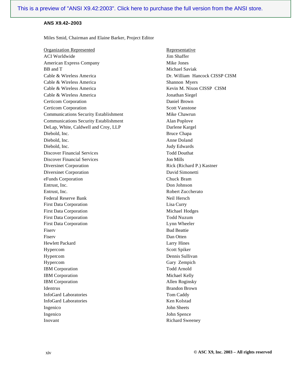Miles Smid, Chairman and Elaine Barker, Project Editor

| <b>Organization Represented</b>              | Representative                 |
|----------------------------------------------|--------------------------------|
| <b>ACI</b> Worldwide                         | Jim Shaffer                    |
| American Express Company                     | Mike Jones                     |
| BB and T                                     | Michael Saviak                 |
| Cable & Wireless America                     | Dr. William Hancock CISSP CISM |
| Cable & Wireless America                     | Shannon Myers                  |
| Cable & Wireless America                     | Kevin M. Nixon CISSP CISM      |
| Cable & Wireless America                     | Jonathan Siegel                |
| <b>Certicom Corporation</b>                  | Daniel Brown                   |
| Certicom Corporation                         | <b>Scott Vanstone</b>          |
| Communications Security Establishment        | Mike Chawrun                   |
| <b>Communications Security Establishment</b> | Alan Poplove                   |
| DeLap, White, Caldwell and Croy, LLP         | Darlene Kargel                 |
| Diebold, Inc.                                | <b>Bruce Chapa</b>             |
| Diebold, Inc.                                | Anne Doland                    |
| Diebold, Inc.                                | Judy Edwards                   |
| <b>Discover Financial Services</b>           | <b>Todd Douthat</b>            |
| <b>Discover Financial Services</b>           | Jon Mills                      |
| Diversinet Corporation                       | Rick (Richard P.) Kastner      |
| Diversinet Corporation                       | David Simonetti                |
| eFunds Corporation                           | Chuck Bram                     |
| Entrust, Inc.                                | Don Johnson                    |
| Entrust, Inc.                                | Robert Zuccherato              |
| <b>Federal Reserve Bank</b>                  | Neil Hersch                    |
| <b>First Data Corporation</b>                | Lisa Curry                     |
| <b>First Data Corporation</b>                | Michael Hodges                 |
| <b>First Data Corporation</b>                | <b>Todd Nuzum</b>              |
| <b>First Data Corporation</b>                | Lynn Wheeler                   |
| Fisery                                       | <b>Bud Beattie</b>             |
| Fisery                                       | Dan Otten                      |
| Hewlett Packard                              | Larry Hines                    |
| Hypercom                                     | Scott Spiker                   |
| Hypercom                                     | Dennis Sullivan                |
| Hypercom                                     | Gary Zempich                   |
| <b>IBM</b> Corporation                       | <b>Todd Arnold</b>             |
| <b>IBM</b> Corporation                       | Michael Kelly                  |
| <b>IBM</b> Corporation                       | Allen Roginsky                 |
| Identrus                                     | <b>Brandon Brown</b>           |
| <b>InfoGard Laboratories</b>                 | Tom Caddy                      |
| <b>InfoGard Laboratories</b>                 | Ken Kolstad                    |
| Ingenico                                     | <b>John Sheets</b>             |
| Ingenico                                     | John Spence                    |
| Inovant                                      | <b>Richard Sweeney</b>         |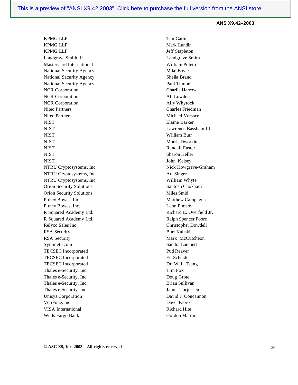**ANS X9.42–2003**

| <b>KPMG LLP</b>                 |
|---------------------------------|
| <b>KPMG LLP</b>                 |
| Landgrave Smith, Jr.            |
| MasterCard International        |
| National Security Agency        |
| National Security Agency        |
| National Security Agency        |
| <b>NCR</b> Corporation          |
| <b>NCR</b> Corporation          |
| <b>NCR</b> Corporation          |
| <b>Niteo Partners</b>           |
| Niteo Partners                  |
| <b>NIST</b>                     |
| <b>NIST</b>                     |
| <b>NIST</b>                     |
| <b>NIST</b>                     |
| <b>NIST</b>                     |
| <b>NIST</b>                     |
| <b>NIST</b>                     |
| NTRU Cryptosystems, Inc.        |
| NTRU Cryptosystems, Inc.        |
| NTRU Cryptosystems, Inc.        |
| <b>Orion Security Solutions</b> |
| <b>Orion Security Solutions</b> |
| Pitney Bowes, Inc.              |
| Pitney Bowes, Inc.              |
| R Squared Academy Ltd.          |
| R Squared Academy Ltd.          |
| Relyco Sales Inc                |
| RSA Security                    |
| <b>RSA</b> Security             |
| Symmetricom                     |
| <b>TECSEC</b> Incorporated      |
| <b>TECSEC</b> Incorporated      |
| <b>TECSEC</b> Incorporated      |
| Thales e-Security, Inc.         |
| Thales e-Security, Inc.         |
| Thales e-Security, Inc.         |
| Thales e-Security, Inc.         |
| <b>Unisys Corporation</b>       |
| VeriFone, Inc.                  |
| <b>VISA</b> International       |
| Wells Fargo Bank                |
|                                 |

KPMG LLP Tim Gartin Mark Lundin Jeff Stapleton Landgrave Smith William Poletti Mike Boyle Sheila Brand Paul Timmel Charlie Harrow Ali Lowden Ally Whytock Charles Friedman Michael Versace Elaine Barker Lawrence Bassham III William Burr Morris Dworkin Randall Easter Sharon Keller John Kelsey Nick Howgrave-Graham Ari Singer William Whyte Santosh Chokhani Miles Smid Matthew Campagna Leon Pintsov Richard E. Overfield Jr. Ralph Spencer Poore Christopher Dowdell Burt Kaliski Mark McCutcheon Sandra Lambert Pud Reaver Ed Scheidt Dr. Wai Tsang Tim Fox Doug Grote Brian Sullivan James Torjussen David J. Concannon Dave Faoro Richard Hite Gordon Martin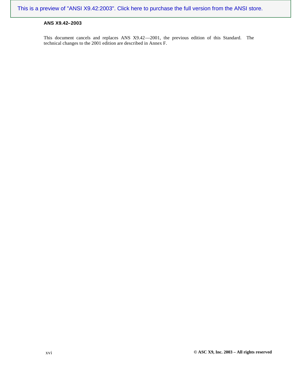This document cancels and replaces ANS X9.42—2001, the previous edition of this Standard. The technical changes to the 2001 edition are described in Annex F.